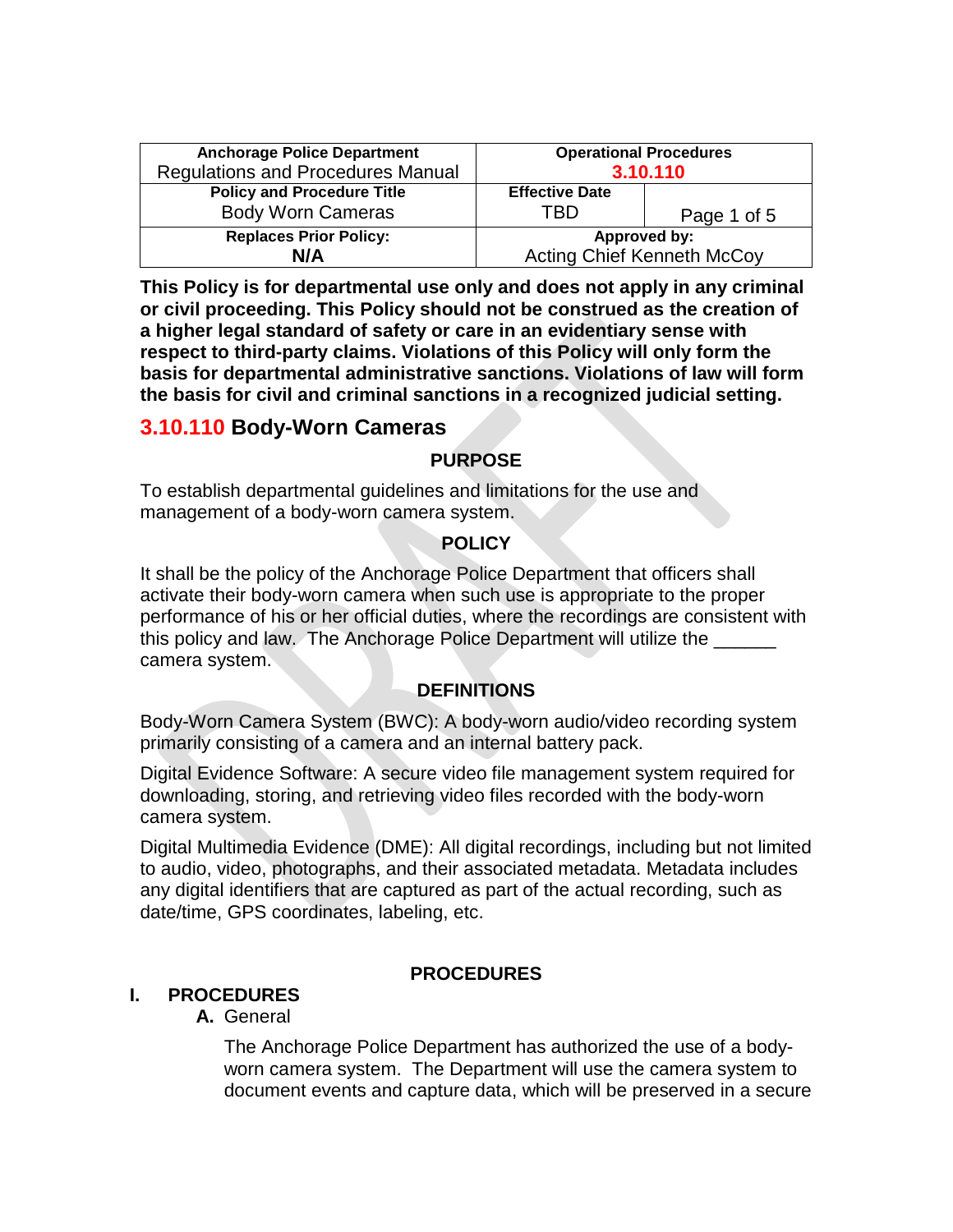| <b>Anchorage Police Department</b>                            | <b>Operational Procedures</b>     |             |
|---------------------------------------------------------------|-----------------------------------|-------------|
| <b>Regulations and Procedures Manual</b>                      | 3.10.110                          |             |
| <b>Policy and Procedure Title</b><br><b>Body Worn Cameras</b> | <b>Effective Date</b><br>TRD      | Page 1 of 5 |
| <b>Replaces Prior Policy:</b>                                 | Approved by:                      |             |
| N/A                                                           | <b>Acting Chief Kenneth McCoy</b> |             |

**This Policy is for departmental use only and does not apply in any criminal or civil proceeding. This Policy should not be construed as the creation of a higher legal standard of safety or care in an evidentiary sense with respect to third-party claims. Violations of this Policy will only form the basis for departmental administrative sanctions. Violations of law will form the basis for civil and criminal sanctions in a recognized judicial setting.** 

# **3.10.110 Body-Worn Cameras**

### **PURPOSE**

To establish departmental guidelines and limitations for the use and management of a body-worn camera system.

### **POLICY**

It shall be the policy of the Anchorage Police Department that officers shall activate their body-worn camera when such use is appropriate to the proper performance of his or her official duties, where the recordings are consistent with this policy and law. The Anchorage Police Department will utilize the camera system.

## **DEFINITIONS**

Body-Worn Camera System (BWC): A body-worn audio/video recording system primarily consisting of a camera and an internal battery pack.

Digital Evidence Software: A secure video file management system required for downloading, storing, and retrieving video files recorded with the body-worn camera system.

Digital Multimedia Evidence (DME): All digital recordings, including but not limited to audio, video, photographs, and their associated metadata. Metadata includes any digital identifiers that are captured as part of the actual recording, such as date/time, GPS coordinates, labeling, etc.

## **PROCEDURES**

# **I. PROCEDURES**

## **A.** General

The Anchorage Police Department has authorized the use of a bodyworn camera system. The Department will use the camera system to document events and capture data, which will be preserved in a secure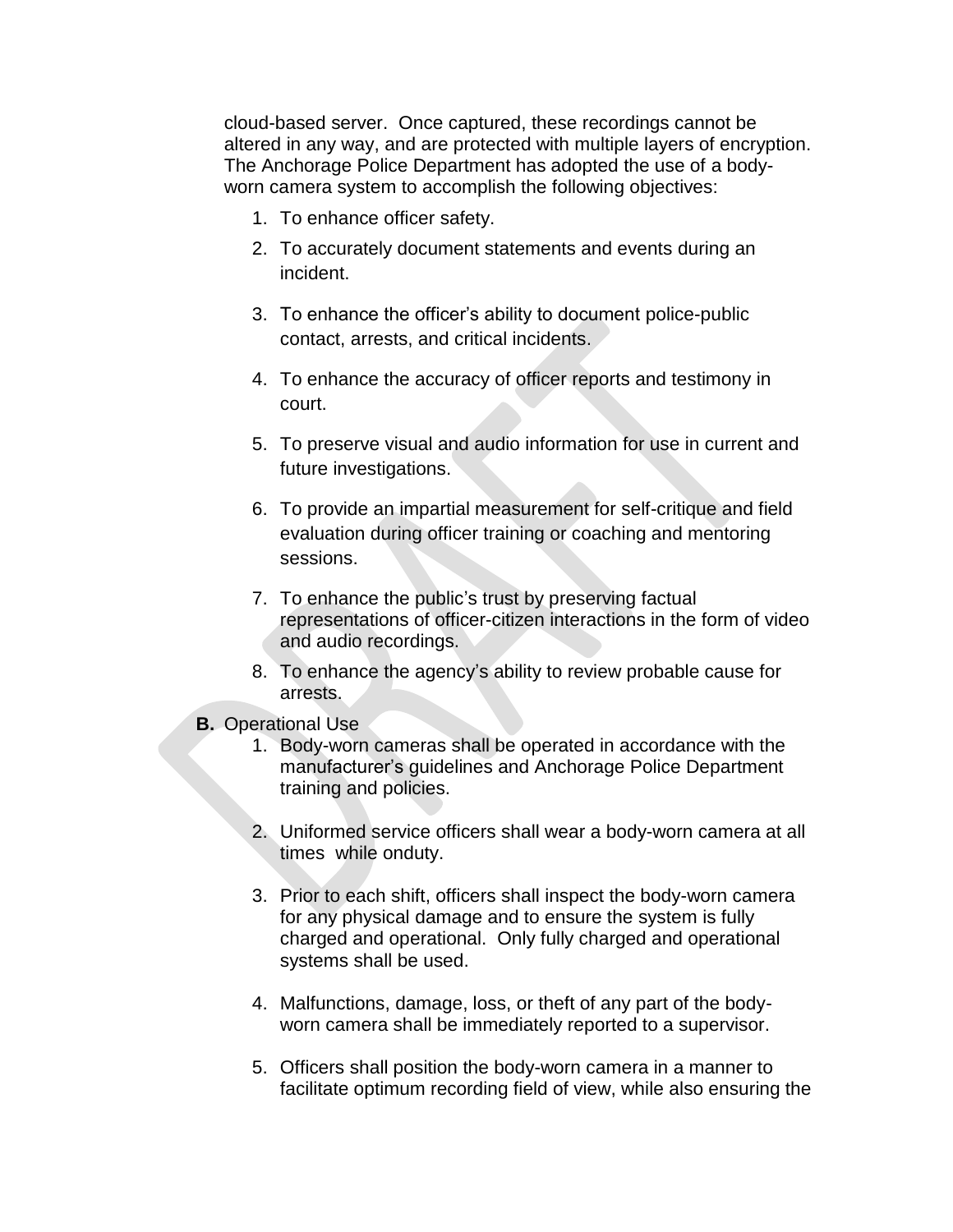cloud-based server. Once captured, these recordings cannot be altered in any way, and are protected with multiple layers of encryption. The Anchorage Police Department has adopted the use of a bodyworn camera system to accomplish the following objectives:

- 1. To enhance officer safety.
- 2. To accurately document statements and events during an incident.
- 3. To enhance the officer's ability to document police-public contact, arrests, and critical incidents.
- 4. To enhance the accuracy of officer reports and testimony in court.
- 5. To preserve visual and audio information for use in current and future investigations.
- 6. To provide an impartial measurement for self-critique and field evaluation during officer training or coaching and mentoring sessions.
- 7. To enhance the public's trust by preserving factual representations of officer-citizen interactions in the form of video and audio recordings.
- 8. To enhance the agency's ability to review probable cause for arrests.
- **B.** Operational Use
	- 1. Body-worn cameras shall be operated in accordance with the manufacturer's guidelines and Anchorage Police Department training and policies.
	- 2. Uniformed service officers shall wear a body-worn camera at all times while onduty.
	- 3. Prior to each shift, officers shall inspect the body-worn camera for any physical damage and to ensure the system is fully charged and operational. Only fully charged and operational systems shall be used.
	- 4. Malfunctions, damage, loss, or theft of any part of the bodyworn camera shall be immediately reported to a supervisor.
	- 5. Officers shall position the body-worn camera in a manner to facilitate optimum recording field of view, while also ensuring the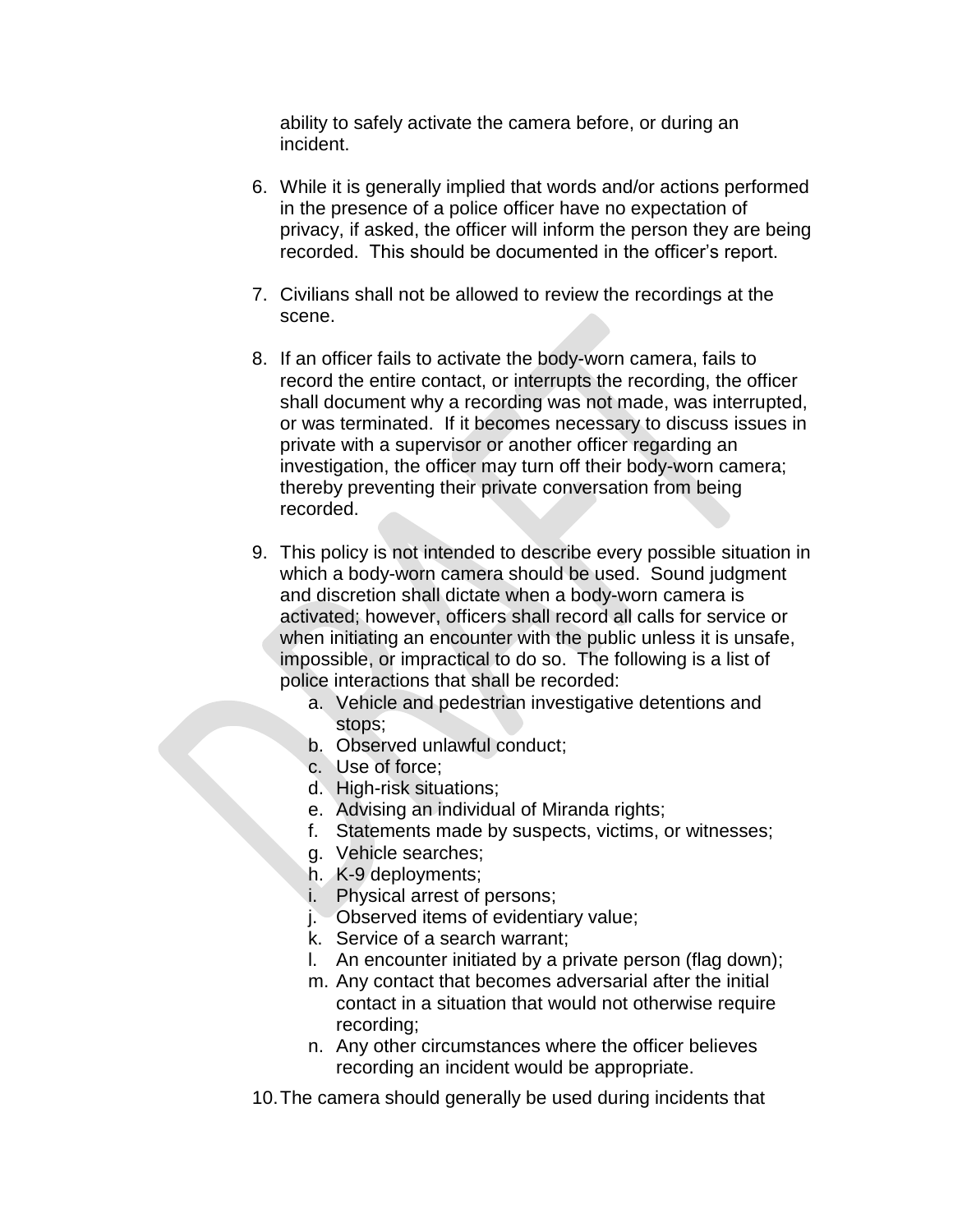ability to safely activate the camera before, or during an incident.

- 6. While it is generally implied that words and/or actions performed in the presence of a police officer have no expectation of privacy, if asked, the officer will inform the person they are being recorded. This should be documented in the officer's report.
- 7. Civilians shall not be allowed to review the recordings at the scene.
- 8. If an officer fails to activate the body-worn camera, fails to record the entire contact, or interrupts the recording, the officer shall document why a recording was not made, was interrupted, or was terminated. If it becomes necessary to discuss issues in private with a supervisor or another officer regarding an investigation, the officer may turn off their body-worn camera; thereby preventing their private conversation from being recorded.
- 9. This policy is not intended to describe every possible situation in which a body-worn camera should be used. Sound judgment and discretion shall dictate when a body-worn camera is activated; however, officers shall record all calls for service or when initiating an encounter with the public unless it is unsafe, impossible, or impractical to do so. The following is a list of police interactions that shall be recorded:
	- a. Vehicle and pedestrian investigative detentions and stops;
	- b. Observed unlawful conduct;
	- c. Use of force;
	- d. High-risk situations;
	- e. Advising an individual of Miranda rights;
	- f. Statements made by suspects, victims, or witnesses;
	- g. Vehicle searches;
	- h. K-9 deployments;
	- i. Physical arrest of persons;
	- j. Observed items of evidentiary value;
	- k. Service of a search warrant;
	- l. An encounter initiated by a private person (flag down);
	- m. Any contact that becomes adversarial after the initial contact in a situation that would not otherwise require recording;
	- n. Any other circumstances where the officer believes recording an incident would be appropriate.

10.The camera should generally be used during incidents that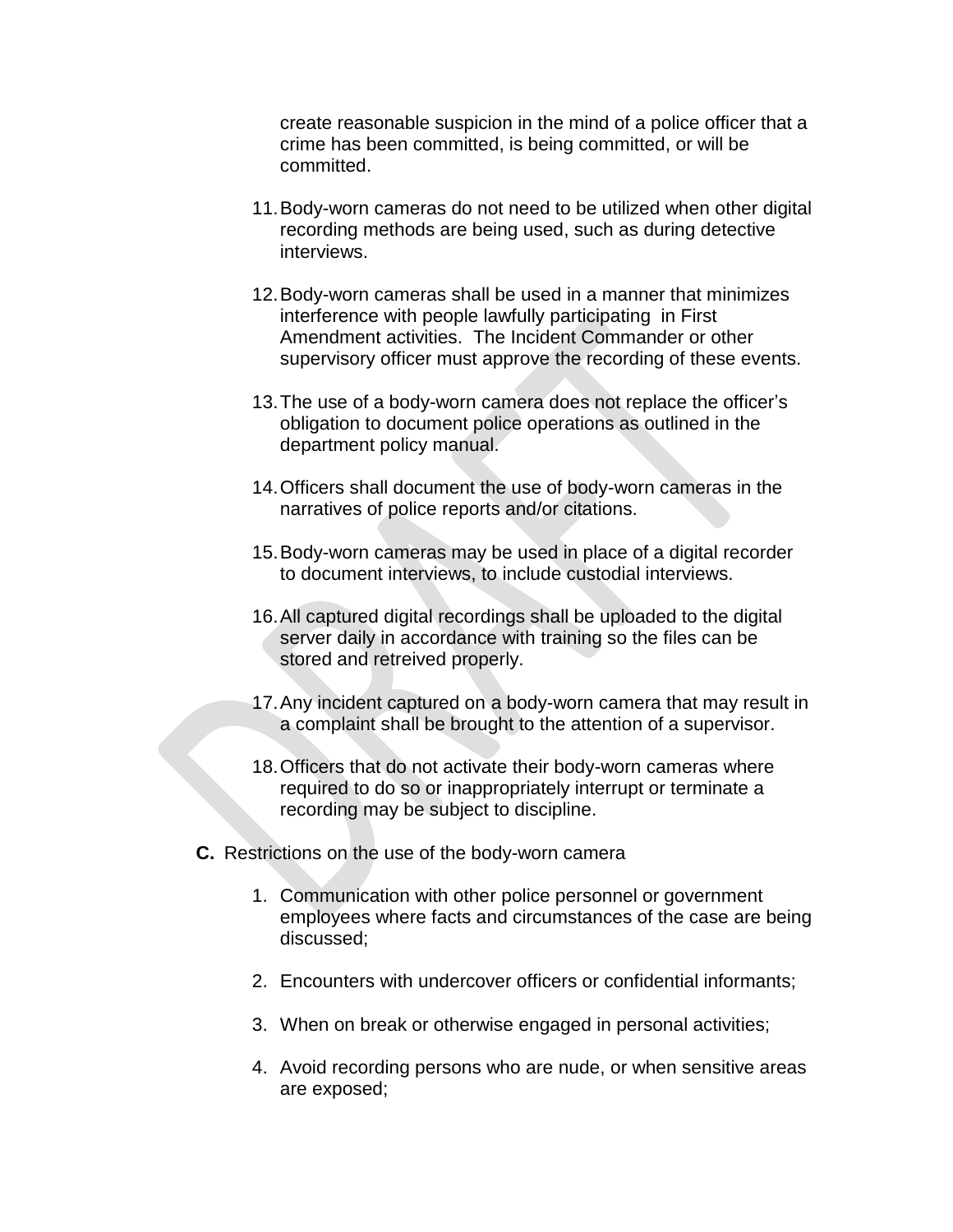create reasonable suspicion in the mind of a police officer that a crime has been committed, is being committed, or will be committed.

- 11.Body-worn cameras do not need to be utilized when other digital recording methods are being used, such as during detective interviews.
- 12.Body-worn cameras shall be used in a manner that minimizes interference with people lawfully participating in First Amendment activities. The Incident Commander or other supervisory officer must approve the recording of these events.
- 13.The use of a body-worn camera does not replace the officer's obligation to document police operations as outlined in the department policy manual.
- 14.Officers shall document the use of body-worn cameras in the narratives of police reports and/or citations.
- 15.Body-worn cameras may be used in place of a digital recorder to document interviews, to include custodial interviews.
- 16.All captured digital recordings shall be uploaded to the digital server daily in accordance with training so the files can be stored and retreived properly.
- 17.Any incident captured on a body-worn camera that may result in a complaint shall be brought to the attention of a supervisor.
- 18.Officers that do not activate their body-worn cameras where required to do so or inappropriately interrupt or terminate a recording may be subject to discipline.
- **C.** Restrictions on the use of the body-worn camera
	- 1. Communication with other police personnel or government employees where facts and circumstances of the case are being discussed;
	- 2. Encounters with undercover officers or confidential informants;
	- 3. When on break or otherwise engaged in personal activities;
	- 4. Avoid recording persons who are nude, or when sensitive areas are exposed;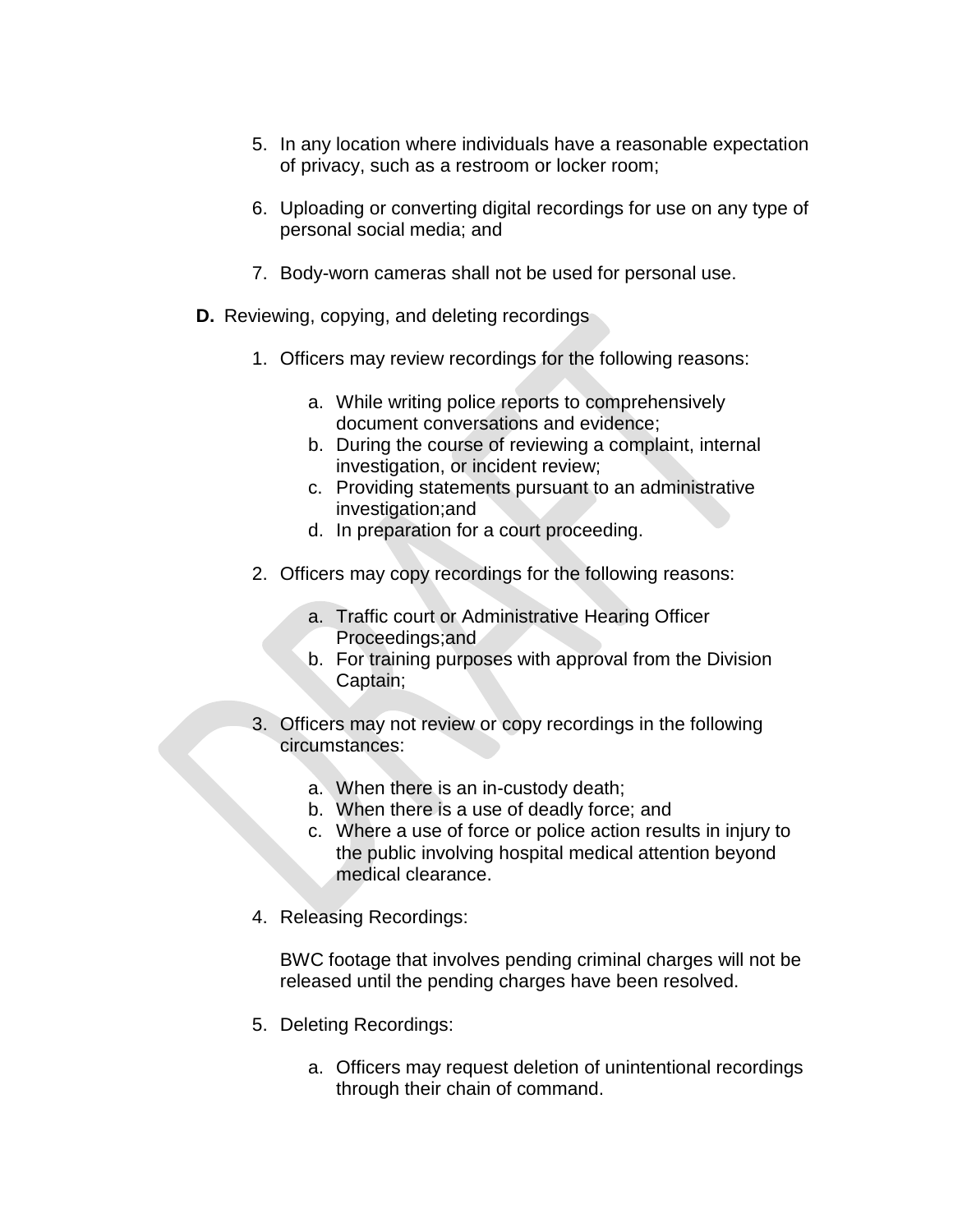- 5. In any location where individuals have a reasonable expectation of privacy, such as a restroom or locker room;
- 6. Uploading or converting digital recordings for use on any type of personal social media; and
- 7. Body-worn cameras shall not be used for personal use.
- **D.** Reviewing, copying, and deleting recordings
	- 1. Officers may review recordings for the following reasons:
		- a. While writing police reports to comprehensively document conversations and evidence;
		- b. During the course of reviewing a complaint, internal investigation, or incident review;
		- c. Providing statements pursuant to an administrative investigation;and
		- d. In preparation for a court proceeding.
	- 2. Officers may copy recordings for the following reasons:
		- a. Traffic court or Administrative Hearing Officer Proceedings;and
		- b. For training purposes with approval from the Division Captain;
	- 3. Officers may not review or copy recordings in the following circumstances:
		- a. When there is an in-custody death;
		- b. When there is a use of deadly force; and
		- c. Where a use of force or police action results in injury to the public involving hospital medical attention beyond medical clearance.
	- 4. Releasing Recordings:

BWC footage that involves pending criminal charges will not be released until the pending charges have been resolved.

- 5. Deleting Recordings:
	- a. Officers may request deletion of unintentional recordings through their chain of command.